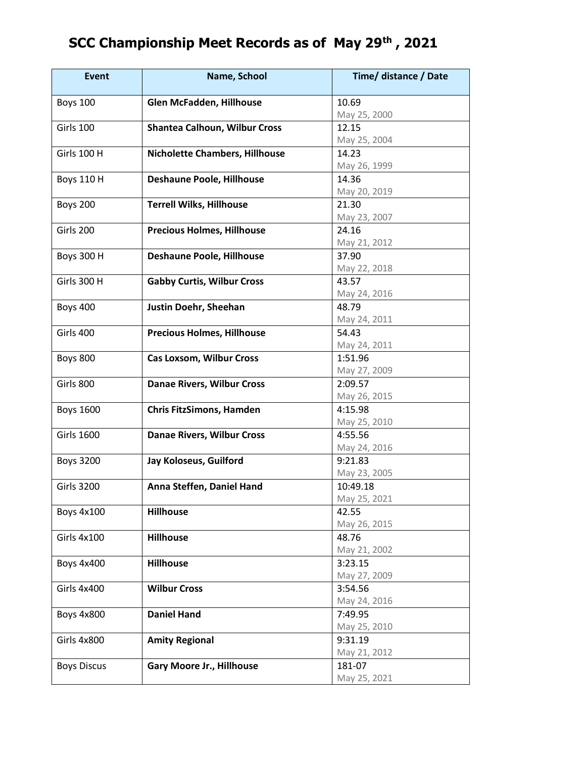## **SCC Championship Meet Records as of May 29th , 2021**

| <b>Event</b>       | Name, School                          | Time/ distance / Date |
|--------------------|---------------------------------------|-----------------------|
| <b>Boys 100</b>    | Glen McFadden, Hillhouse              | 10.69                 |
|                    |                                       | May 25, 2000          |
| Girls 100          | <b>Shantea Calhoun, Wilbur Cross</b>  | 12.15                 |
|                    |                                       | May 25, 2004          |
| <b>Girls 100 H</b> | <b>Nicholette Chambers, Hillhouse</b> | 14.23                 |
|                    |                                       | May 26, 1999          |
| <b>Boys 110 H</b>  | <b>Deshaune Poole, Hillhouse</b>      | 14.36                 |
|                    |                                       | May 20, 2019          |
| <b>Boys 200</b>    | <b>Terrell Wilks, Hillhouse</b>       | 21.30                 |
|                    |                                       | May 23, 2007          |
| Girls 200          | <b>Precious Holmes, Hillhouse</b>     | 24.16                 |
|                    |                                       | May 21, 2012          |
| <b>Boys 300 H</b>  | Deshaune Poole, Hillhouse             | 37.90                 |
|                    |                                       | May 22, 2018          |
| Girls 300 H        | <b>Gabby Curtis, Wilbur Cross</b>     | 43.57                 |
|                    |                                       | May 24, 2016          |
| <b>Boys 400</b>    | Justin Doehr, Sheehan                 | 48.79                 |
|                    |                                       | May 24, 2011          |
| Girls 400          | <b>Precious Holmes, Hillhouse</b>     | 54.43                 |
|                    |                                       | May 24, 2011          |
| <b>Boys 800</b>    | <b>Cas Loxsom, Wilbur Cross</b>       | 1:51.96               |
|                    |                                       | May 27, 2009          |
| Girls 800          | <b>Danae Rivers, Wilbur Cross</b>     | 2:09.57               |
|                    |                                       | May 26, 2015          |
| <b>Boys 1600</b>   | <b>Chris FitzSimons, Hamden</b>       | 4:15.98               |
|                    |                                       | May 25, 2010          |
| <b>Girls 1600</b>  | <b>Danae Rivers, Wilbur Cross</b>     | 4:55.56               |
|                    |                                       | May 24, 2016          |
| <b>Boys 3200</b>   | Jay Koloseus, Guilford                | 9:21.83               |
|                    |                                       | May 23, 2005          |
| <b>Girls 3200</b>  | Anna Steffen, Daniel Hand             | 10:49.18              |
|                    |                                       | May 25, 2021          |
| <b>Boys 4x100</b>  | <b>Hillhouse</b>                      | 42.55                 |
|                    |                                       | May 26, 2015          |
| Girls 4x100        | <b>Hillhouse</b>                      | 48.76                 |
|                    |                                       | May 21, 2002          |
| <b>Boys 4x400</b>  | <b>Hillhouse</b>                      | 3:23.15               |
|                    |                                       | May 27, 2009          |
| Girls 4x400        | <b>Wilbur Cross</b>                   | 3:54.56               |
|                    |                                       | May 24, 2016          |
| <b>Boys 4x800</b>  | <b>Daniel Hand</b>                    | 7:49.95               |
|                    |                                       | May 25, 2010          |
| Girls 4x800        | <b>Amity Regional</b>                 | 9:31.19               |
|                    |                                       | May 21, 2012          |
| <b>Boys Discus</b> | <b>Gary Moore Jr., Hillhouse</b>      | 181-07                |
|                    |                                       | May 25, 2021          |